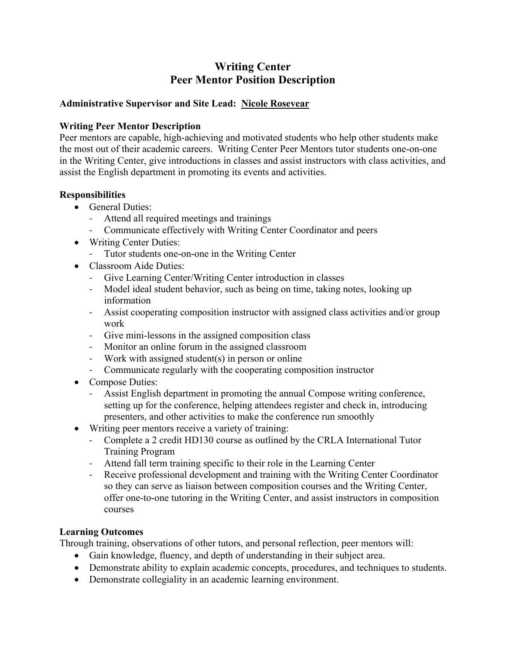# **Writing Center Peer Mentor Position Description**

### **Administrative Supervisor and Site Lead: Nicole Rosevear**

### **Writing Peer Mentor Description**

Peer mentors are capable, high-achieving and motivated students who help other students make the most out of their academic careers. Writing Center Peer Mentors tutor students one-on-one in the Writing Center, give introductions in classes and assist instructors with class activities, and assist the English department in promoting its events and activities.

### **Responsibilities**

- General Duties:
	- ‐ Attend all required meetings and trainings
	- ‐ Communicate effectively with Writing Center Coordinator and peers
- Writing Center Duties:
	- ‐ Tutor students one-on-one in the Writing Center
- Classroom Aide Duties:
	- ‐ Give Learning Center/Writing Center introduction in classes
	- ‐ Model ideal student behavior, such as being on time, taking notes, looking up information
	- ‐ Assist cooperating composition instructor with assigned class activities and/or group work
	- ‐ Give mini-lessons in the assigned composition class
	- ‐ Monitor an online forum in the assigned classroom
	- ‐ Work with assigned student(s) in person or online
	- ‐ Communicate regularly with the cooperating composition instructor
- Compose Duties:
	- ‐ Assist English department in promoting the annual Compose writing conference, setting up for the conference, helping attendees register and check in, introducing presenters, and other activities to make the conference run smoothly
- Writing peer mentors receive a variety of training:
	- ‐ Complete a 2 credit HD130 course as outlined by the CRLA International Tutor Training Program
	- ‐ Attend fall term training specific to their role in the Learning Center
	- ‐ Receive professional development and training with the Writing Center Coordinator so they can serve as liaison between composition courses and the Writing Center, offer one-to-one tutoring in the Writing Center, and assist instructors in composition courses

### **Learning Outcomes**

Through training, observations of other tutors, and personal reflection, peer mentors will:

- Gain knowledge, fluency, and depth of understanding in their subject area.
- Demonstrate ability to explain academic concepts, procedures, and techniques to students.
- Demonstrate collegiality in an academic learning environment.